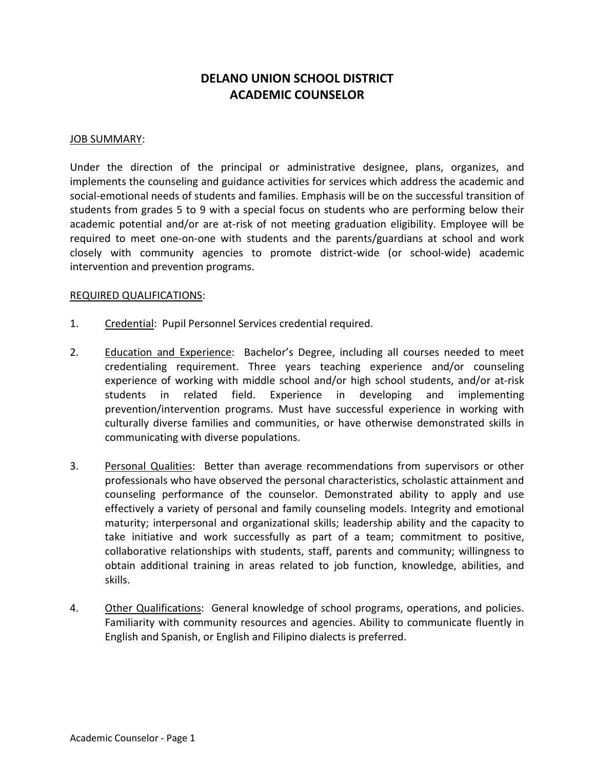# DELANO UNION SCHOOL DISTRICT ACADEMIC COUNSELOR

#### JOB SUMMARY:

Under the direction of the principal or administrative designee, plans, organizes, and implements the counseling and guidance activities for services which address the academic and social-emotional needs of students and families. Emphasis will be on the successful transition of students from grades 5 to 9 with a special focus on students who are performing below their academic potential and/or are at-risk of not meeting graduation eligibility. Employee will be required to meet one-on-one with students and the parents/guardians at school and work closely with community agencies to promote district-wide (or school-wide) academic intervention and prevention programs.

### REQUIRED QUALIFICATIONS:

- 1. Credential: Pupil Personnel Services credential required.
- 2. Education and Experience: Bachelor's Degree, including all courses needed to meet credentialing requirement. Three years teaching experience and/or counseling experience of working with middle school and/or high school students, and/or at-risk students in related field. Experience in developing and implementing prevention/intervention programs. Must have successful experience in working with culturally diverse families and communities, or have otherwise demonstrated skills in communicating with diverse populations.
- 3. Personal Qualities: Better than average recommendations from supervisors or other professionals who have observed the personal characteristics, scholastic attainment and counseling performance of the counselor. Demonstrated ability to apply and use effectively a variety of personal and family counseling models. Integrity and emotional maturity; interpersonal and organizational skills; leadership ability and the capacity to take initiative and work successfully as part of a team; commitment to positive, collaborative relationships with students, staff, parents and community; willingness to obtain additional training in areas related to job function, knowledge, abilities, and skills.
- 4. Other Qualifications: General knowledge of school programs, operations, and policies. Familiarity with community resources and agencies. Ability to communicate fluently in English and Spanish, or English and Filipino dialects is preferred.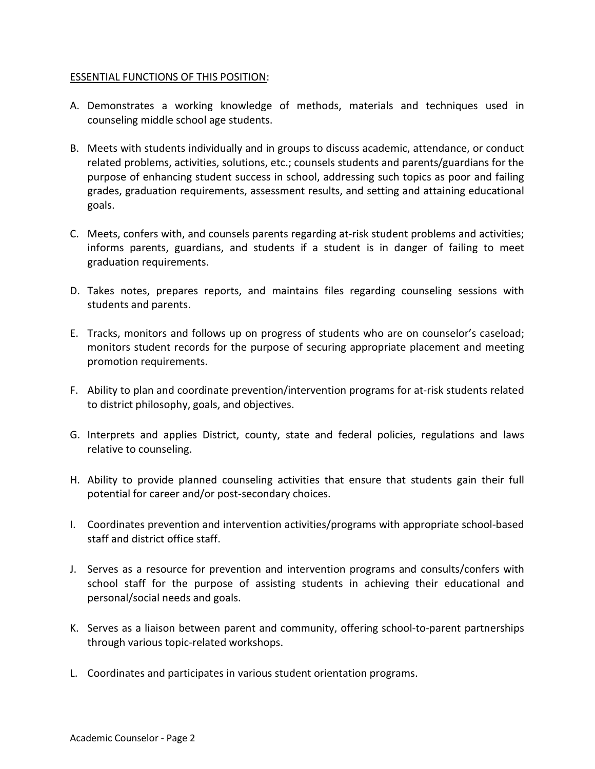## ESSENTIAL FUNCTIONS OF THIS POSITION:

- A. Demonstrates a working knowledge of methods, materials and techniques used in counseling middle school age students.
- B. Meets with students individually and in groups to discuss academic, attendance, or conduct related problems, activities, solutions, etc.; counsels students and parents/guardians for the purpose of enhancing student success in school, addressing such topics as poor and failing grades, graduation requirements, assessment results, and setting and attaining educational goals.
- C. Meets, confers with, and counsels parents regarding at-risk student problems and activities; informs parents, guardians, and students if a student is in danger of failing to meet graduation requirements.
- D. Takes notes, prepares reports, and maintains files regarding counseling sessions with students and parents.
- E. Tracks, monitors and follows up on progress of students who are on counselor's caseload; monitors student records for the purpose of securing appropriate placement and meeting promotion requirements.
- F. Ability to plan and coordinate prevention/intervention programs for at-risk students related to district philosophy, goals, and objectives.
- G. Interprets and applies District, county, state and federal policies, regulations and laws relative to counseling.
- H. Ability to provide planned counseling activities that ensure that students gain their full potential for career and/or post-secondary choices.
- I. Coordinates prevention and intervention activities/programs with appropriate school-based staff and district office staff.
- J. Serves as a resource for prevention and intervention programs and consults/confers with school staff for the purpose of assisting students in achieving their educational and personal/social needs and goals.
- K. Serves as a liaison between parent and community, offering school-to-parent partnerships through various topic-related workshops.
- L. Coordinates and participates in various student orientation programs.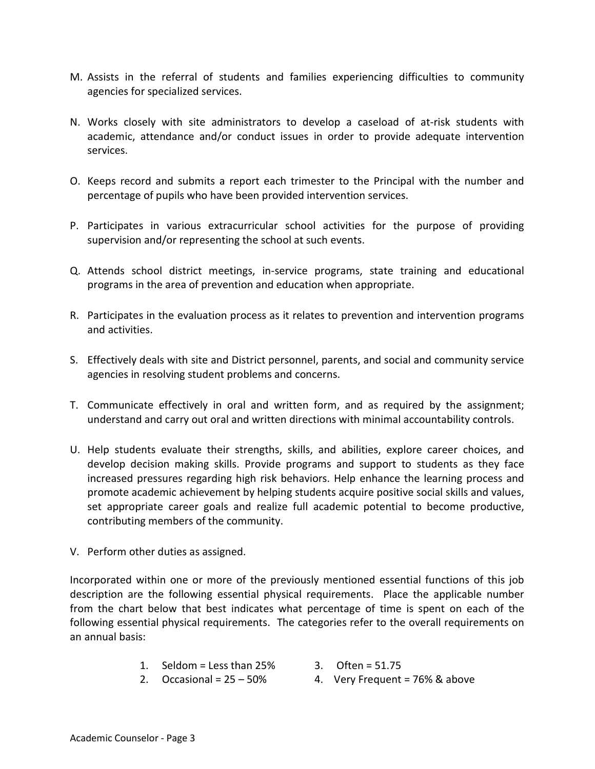- M. Assists in the referral of students and families experiencing difficulties to community agencies for specialized services.
- N. Works closely with site administrators to develop a caseload of at-risk students with academic, attendance and/or conduct issues in order to provide adequate intervention services.
- O. Keeps record and submits a report each trimester to the Principal with the number and percentage of pupils who have been provided intervention services.
- P. Participates in various extracurricular school activities for the purpose of providing supervision and/or representing the school at such events.
- Q. Attends school district meetings, in-service programs, state training and educational programs in the area of prevention and education when appropriate.
- R. Participates in the evaluation process as it relates to prevention and intervention programs and activities.
- S. Effectively deals with site and District personnel, parents, and social and community service agencies in resolving student problems and concerns.
- T. Communicate effectively in oral and written form, and as required by the assignment; understand and carry out oral and written directions with minimal accountability controls.
- U. Help students evaluate their strengths, skills, and abilities, explore career choices, and develop decision making skills. Provide programs and support to students as they face increased pressures regarding high risk behaviors. Help enhance the learning process and promote academic achievement by helping students acquire positive social skills and values, set appropriate career goals and realize full academic potential to become productive, contributing members of the community.
- V. Perform other duties as assigned.

Incorporated within one or more of the previously mentioned essential functions of this job description are the following essential physical requirements. Place the applicable number from the chart below that best indicates what percentage of time is spent on each of the following essential physical requirements. The categories refer to the overall requirements on an annual basis:

- 1. Seldom = Less than  $25\%$  3. Often = 51.75
- 
- 
- 2. Occasional =  $25 50\%$  4. Very Frequent =  $76\%$  & above